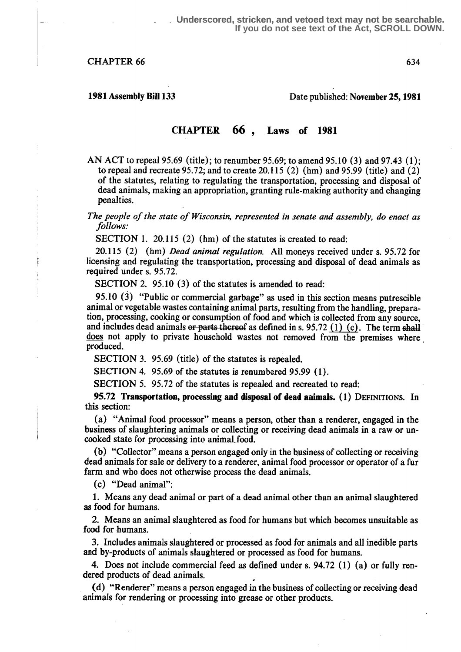CHAPTER  $66$  634

1981 Assembly Bill 133 Date published: November 25, 1981

### CHAPTER 66 , Laws of 1981

AN ACT to repeal 95.69 (title); to renumber 95.69; to amend 95.10 (3) and 97.43 (1); to repeal and recreate 95.72; and to create 20.115 (2) (hm) and 95.99 (title) and (2) of the statutes, relating to regulating the transportation, processing and disposal of dead animals, making an appropriation, granting rule-making authority and changing penalties.

The people of the state of Wisconsin, represented in senate and assembly, do enact as follows:

SECTION 1. 20.115 (2) (hm) of the statutes is created to read:

 $20.115$  (2) (hm) *Dead animal regulation*. All moneys received under s. 95.72 for licensing and regulating the transportation, processing and disposal of dead animals as required under s. 95.72.

SECTION 2. 95.10 (3) of the statutes is amended to read:

95.10 (3) "Public or commercial garbage" as used in this section means putrescible animal or vegetable wastes containing animal parts, resulting from the handling, preparation, processing, cooking or consumption of food and which is collected from any source, and includes dead animals or parts thereof as defined in s. 95.72  $(1)$  (c). The term shall does not apply to private household wastes not removed from the premises where produced.

SECTION 3. 95.69 (title) of the statutes is repealed.

SECTION 4. 95.69 of the statutes is renumbered 95.99 (1) .

SECTION 5. 95.72 of the statutes is repealed and recreated to read:

95.72 Transportation, processing and disposal of dead animals. (1) DEFINITIONS. In this section:

(a) "Animal food processor" means a person, other than a renderer, engaged in the business of slaughtering animals or collecting or receiving dead animals in a raw or uncooked state for processing into animal. food.

(b) "Collector" means a person engaged only in the business of collecting or receiving dead animals for sale or delivery to a renderer, animal food processor or operator of a fur farm and who does not otherwise process the dead animals.

(c) "Dead animal":

<sup>1</sup> . Means any dead animal or part of a dead animal other than an animal slaughtered as food for humans.

2. Means an animal slaughtered as food for humans but which becomes unsuitable as food for humans.

3. Includes animals slaughtered or processed as food for animals and all inedible parts and by-products of animals slaughtered or processed as food for humans.

4. Does not include commercial feed as defined under s. 94.72 (1) (a) or fully rendered products of dead animals.

(d) "Renderer" means a person engaged in the business of collecting or receiving dead animals for rendering or processing into grease or other products.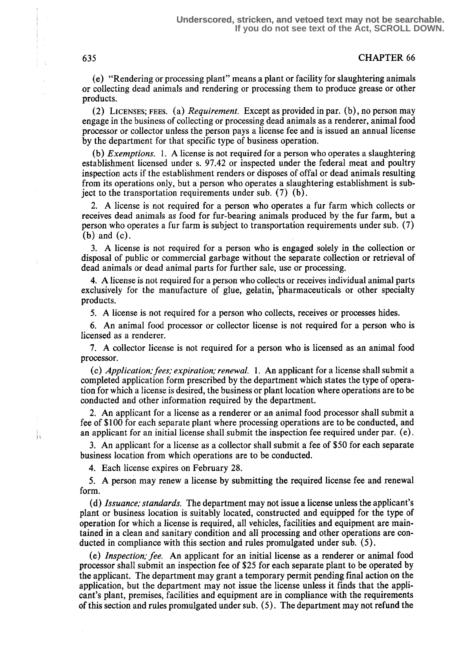#### 635 CHAPTER 66

(e) "Rendering or processing plant" means a plant or facility for slaughtering animals or collecting dead animals and rendering or processing them to produce grease or other products.

(2) LICENSES; FEES. (a) *Requirement*. Except as provided in par. (b), no person may engage in the business of collecting or processing dead animals as a renderer, animal food processor or collector unless the person pays a license fee and is issued an annual license by the department for that specific type of business operation.

(b) *Exemptions.* 1. A license is not required for a person who operates a slaughtering establishment licensed under s. 97.42 or inspected under the federal meat and poultry inspection acts if the establishment renders or disposes of offal or dead animals resulting from its operations only, but a person who operates a slaughtering establishment is subject to the transportation requirements under sub.  $(7)$  (b).

2. A license is not required for a person who operates a fur farm which collects or receives dead animals as food for fur-bearing animals produced by the fur farm, but a person who operates a fur farm is subject to transportation requirements under sub. (7)  $(b)$  and  $(c)$ .

3. A license is not required for a person who is engaged solely in the collection or disposal of public or commercial garbage without the separate collection or retrieval of dead animals or dead animal parts for further sale, use or processing.

4. A license is not required for a person who collects or receives individual animal parts exclusively for the manufacture of glue, gelatin, "pharmaceuticals or other specialty products.

5. A license is not required for a person who collects, receives or processes hides.

6. An animal food processor or collector license is not required for a person who is licensed as a renderer.

7. A collector license is not required for a person who is licensed as an animal food processor.

(c) Application; fees; expiration; renewal. 1. An applicant for a license shall submit a completed application form prescribed by the department which states the type of operation for which a license is desired, the business or plant location where operations are to be conducted and other information required by the department.

2. An applicant for a license as a renderer or an animal food processor shall submit a fee of \$100 for each separate plant where processing operations are to be conducted, and an applicant for an initial license shall submit the inspection fee required under par. (e) .

3. An applicant for a license as a collector shall submit a fee of \$5O for each separate business location from which operations are to be conducted.

4. Each license expires on February 28.

S. A person may renew a license by submitting the required license fee and renewal form.

(d) Issuance; standards. The department may not issue a license unless the applicant's plant or business location is suitably located, constructed and equipped for the type of operation for which a license is required, all vehicles, facilities and equipment are maintained in a clean and sanitary condition and all processing and other operations are conducted in compliance with this section and rules promulgated under sub. (5) .

(e) Inspection; fee. An applicant for an initial license as a renderer or animal food processor shall submit an inspection fee of \$25 for each separate plant to be operated by the applicant. The department may grant a temporary permit pending final action on the application, but the department may not issue the license unless it finds that the applicant's plant, premises, facilities and equipment are in compliance with the requirements of this section and rules promulgated under sub. (5) . The department may not refund the

İš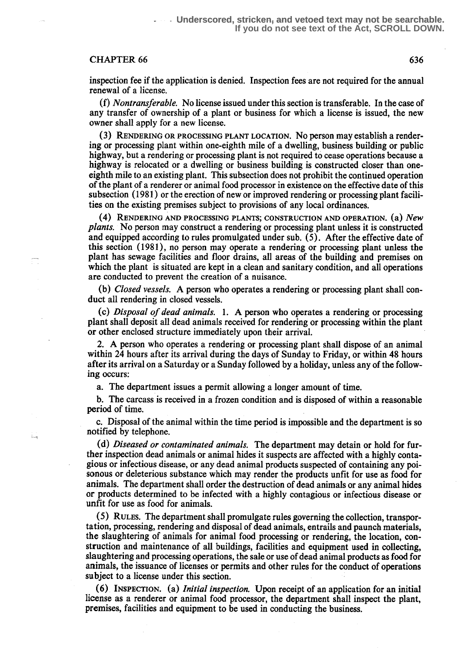# $CHAPTER 66$  636

İsq

inspection fee if the application is denied. Inspection fees are not required for the annual renewal of a license.

(f) *Nontransferable*. No license issued under this section is transferable. In the case of any transfer of ownership of a plant or business for which a license is issued, the new owner shall apply for a new license.

RENDERING OR PROCESSING PLANT LOCATION. NO person may establish a rendering or processing plant within one-eighth mile of a dwelling, business building or public highway, but a rendering or processing plant is not required to cease operations because a highway is relocated or a dwelling or business building is constructed closer than oneeighth mile to an existing plant. This subsection does not prohibit the continued operation of the plant of a renderer or animal food processor in existence on the effective date of this subsection (1981) or the erection of new or improved rendering or processing plant facilities on the existing premises subject to provisions of any local ordinances.

RENDERING AND PROCESSING PLANTS; CONSTRUCTION AND OPERATION. (a) New plants. No person may construct a rendering or processing plant unless it is constructed and equipped according to rules promulgated under sub . (5) . After the effective date of this section (1981), no person may operate a rendering or processing plant unless the plant has sewage facilities and floor drains, all areas of the building and premises on which the plant is situated are kept in a clean and sanitary condition, and all operations are conducted to prevent the creation of a nuisance.

(b) Closed vessels. A person who operates a rendering or processing plant shall conduct all rendering in closed vessels.

(c) Disposal of dead animals. 1. A person who operates a rendering or processing plant shall deposit all dead animals received for rendering or processing within the plant or other enclosed structure immediately upon their arrival.

2. A person who operates a rendering or processing plant shall dispose of an animal within 24 hours after its arrival during the days of Sunday to Friday, or within 48 hours after its arrival on a Saturday or a Sunday followed by a holiday, unless any of the following occurs:

a. The department issues a permit allowing a longer amount of time.

b. The carcass is received in a frozen condition and is disposed of within a reasonable period of time.

c. Disposal of the animal within the time period is impossible and the department is so notified by telephone.

(d) Diseased or contaminated animals. The department may detain or hold for further inspection dead animals or animal hides it suspects are affected with a highly contagious or infectious disease, or any dead animal products suspected of containing any poisonous or deleterious substance which may render the products unfit for use as food for animals. The department shall order the destruction of dead animals or any animal hides or products determined to be infected with a highly contagious or infectious disease or unfit for use as food for animals.

(5) RULES. The department shall promulgate rules governing the collection, transportation, processing, rendering and disposal of dead animals, entrails and paunch materials, the slaughtering of animals for animal food processing or rendering, the location, construction and maintenance of all buildings, facilities and equipment used in collecting, slaughtering and processing operations, the sale or use of dead animal products as food for animals, the issuance of licenses or permits and other rules for the conduct of operations subject to a license under this section.

(6) INSPECTION. (a) Initial inspection. Upon receipt of an application for an initial license as a renderer or animal food processor, the department shall inspect the plant, premises, facilities and equipment to be used in conducting the business.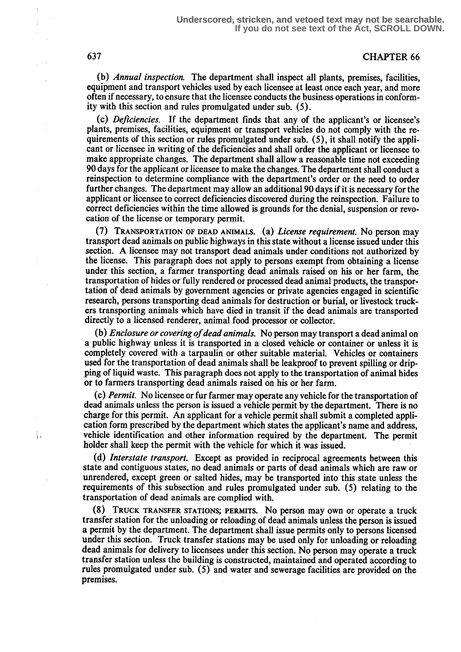(b) Annual inspection. The department shall inspect all plants, premises, facilities, equipment and transport vehicles used by each licensee at least once each year, and more often if necessary, to ensure that the licensee conducts the business operations in conformity with this section and rules promulgated under sub. (5) .

(c) Deficiencies. If the department finds that any of the applicant's or licensee's plants, premises, facilities, equipment or transport vehicles do not comply with the requirements of this section or rules promulgated under sub. (5), it shall notify the applicant or licensee in writing of the deficiencies and shall order the applicant or licensee to make appropriate changes. The department shall allow a reasonable time not exceeding 90 days for the applicant or licensee to make the changes. The department shall conduct a reinspection to determine compliance with the department's order or the need to order further changes. The department may allow an additional 90 days if it is necessary for the applicant or licensee to correct deficiencies discovered during the reinspection . Failure to correct deficiencies within the time allowed is grounds for the denial, suspension or revocation of the license or temporary permit.

(7) TRANSPORTATION OF DEAD ANIMALS. (a) License requirement. No person may transport dead animals on public highways in this state without a license issued under this section. A licensee may not transport dead animals under conditions not authorized by the license. This paragraph does not apply to persons exempt from obtaining a license under this section, a farmer transporting dead animals raised on his or her farm, the transportation of hides or fully rendered or processed dead animal products, the transportation of dead animals by government agencies or private agencies engaged in scientific research, persons transporting dead animals for destruction or burial, or livestock truckers transporting animals which have died in transit if the dead animals are transported directly to a licensed renderer, animal food processor or collector.

(b) *Enclosure or covering of dead animals.* No person may transport a dead animal on a public highway unless it is transported in a closed vehicle or container or unless it is completely covered with a tarpaulin or other suitable material. Vehicles or containers used for the transportation of dead animals shall be leakproof to prevent spilling or dripping of liquid waste. This paragraph does not apply to the transportation of animal hides or to farmers transporting dead animals raised on his or her farm.

(c) Permit. No licensee or fur farmer may operate any vehicle for the transportation of dead animals unless the person is issued a vehicle permit by the department. There is no charge for this permit. An applicant for a vehicle permit shall submit a completed application form prescribed by the department which states the applicant's name and address, vehicle identification and other information required by the department. The permit holder shall keep the permit with the vehicle for which it was issued.

(d) Interstate transport. Except as provided in reciprocal agreements between this state and contiguous states, no dead animals or parts of dead animals which are raw or unrendered, except green or salted hides, may be transported into this state unless the requirements of this subsection and rules promulgated under sub. (5) relating to the transportation of dead animals are complied with.

TRUCK TRANSFER STATIONS; PERMITS. NO person may own or operate a truck transfer station for the unloading or reloading of dead animals unless the person is issued a permit by the department. The department shall issue permits only to persons licensed under this section. Truck transfer stations may be used only for unloading or reloading dead animals for delivery to licensees under this section. No person may operate a truck transfer station unless the building is constructed, maintained and operated according to rules promulgated under sub. (5) and water and sewerage facilities are provided on the premises.

ļş